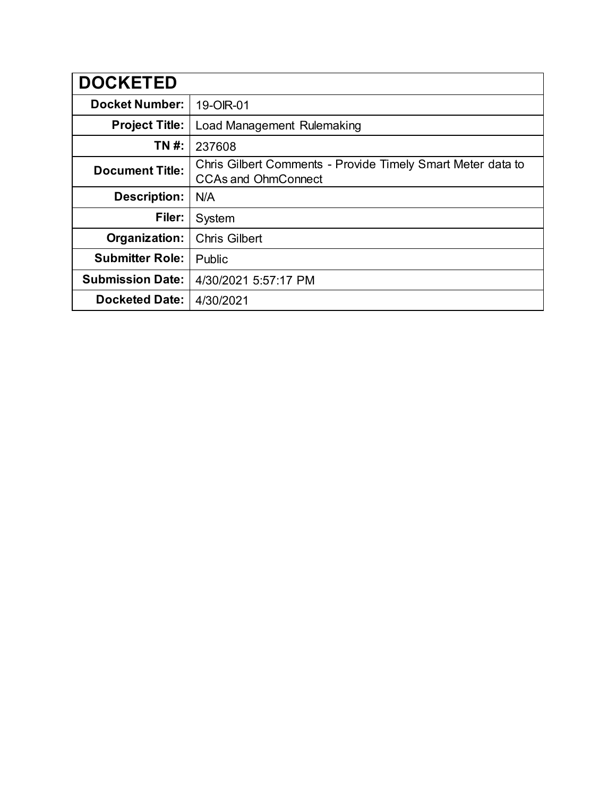| <b>DOCKETED</b>         |                                                                                           |
|-------------------------|-------------------------------------------------------------------------------------------|
| <b>Docket Number:</b>   | 19-OIR-01                                                                                 |
| <b>Project Title:</b>   | Load Management Rulemaking                                                                |
| TN #:                   | 237608                                                                                    |
| <b>Document Title:</b>  | Chris Gilbert Comments - Provide Timely Smart Meter data to<br><b>CCAs and OhmConnect</b> |
| <b>Description:</b>     | N/A                                                                                       |
| Filer:                  | System                                                                                    |
| Organization:           | <b>Chris Gilbert</b>                                                                      |
| <b>Submitter Role:</b>  | Public                                                                                    |
| <b>Submission Date:</b> | 4/30/2021 5:57:17 PM                                                                      |
| <b>Docketed Date:</b>   | 4/30/2021                                                                                 |